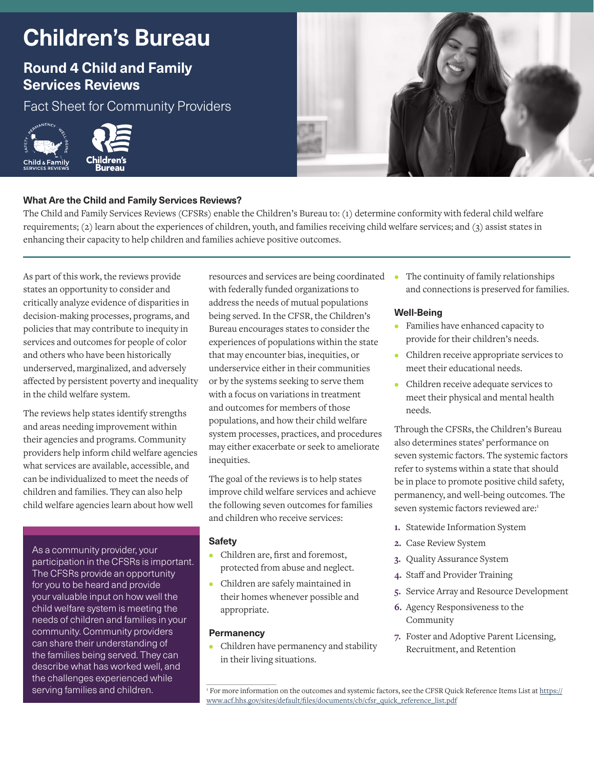# **Children's Bureau**

# **Round 4 Child and Family Services Reviews**

Fact Sheet for Community Providers





### **What Are the Child and Family Services Reviews?**

The Child and Family Services Reviews (CFSRs) enable the Children's Bureau to: (1) determine conformity with federal child welfare requirements; (2) learn about the experiences of children, youth, and families receiving child welfare services; and (3) assist states in enhancing their capacity to help children and families achieve positive outcomes.

As part of this work, the reviews provide states an opportunity to consider and critically analyze evidence of disparities in decision-making processes, programs, and policies that may contribute to inequity in services and outcomes for people of color and others who have been historically underserved, marginalized, and adversely affected by persistent poverty and inequality in the child welfare system.

The reviews help states identify strengths and areas needing improvement within their agencies and programs. Community providers help inform child welfare agencies what services are available, accessible, and can be individualized to meet the needs of children and families. They can also help child welfare agencies learn about how well

As a community provider, your participation in the CFSRs is important. The CFSRs provide an opportunity for you to be heard and provide your valuable input on how well the child welfare system is meeting the needs of children and families in your community. Community providers can share their understanding of the families being served. They can describe what has worked well, and the challenges experienced while serving families and children.

resources and services are being coordinated with federally funded organizations to address the needs of mutual populations being served. In the CFSR, the Children's Bureau encourages states to consider the experiences of populations within the state that may encounter bias, inequities, or underservice either in their communities or by the systems seeking to serve them with a focus on variations in treatment and outcomes for members of those populations, and how their child welfare system processes, practices, and procedures may either exacerbate or seek to ameliorate inequities.

The goal of the reviews is to help states improve child welfare services and achieve the following seven outcomes for families and children who receive services:

#### **Safety**

- **•** Children are, first and foremost, protected from abuse and neglect.
- **•** Children are safely maintained in their homes whenever possible and appropriate.

#### **Permanency**

**•** Children have permanency and stability in their living situations.

**•** The continuity of family relationships and connections is preserved for families.

#### **Well-Being**

- **•** Families have enhanced capacity to provide for their children's needs.
- **•** Children receive appropriate services to meet their educational needs.
- **•** Children receive adequate services to meet their physical and mental health needs.

Through the CFSRs, the Children's Bureau also determines states' performance on seven systemic factors. The systemic factors refer to systems within a state that should be in place to promote positive child safety, permanency, and well-being outcomes. The seven systemic factors reviewed are:1

- **1.** Statewide Information System
- **2.** Case Review System
- **3.** Quality Assurance System
- **4.** Staff and Provider Training
- **5.** Service Array and Resource Development
- **6.** Agency Responsiveness to the Community
- **7.** Foster and Adoptive Parent Licensing, Recruitment, and Retention

<sup>&</sup>lt;sup>1</sup> [For more information on the outcomes and systemic factors, see the CFSR Quick Reference Items List at https://](https://www.acf.hhs.gov/sites/default/files/documents/cb/cfsr_quick_reference_list.pdf) www.acf.hhs.gov/sites/default/files/documents/cb/cfsr\_quick\_reference\_list.pdf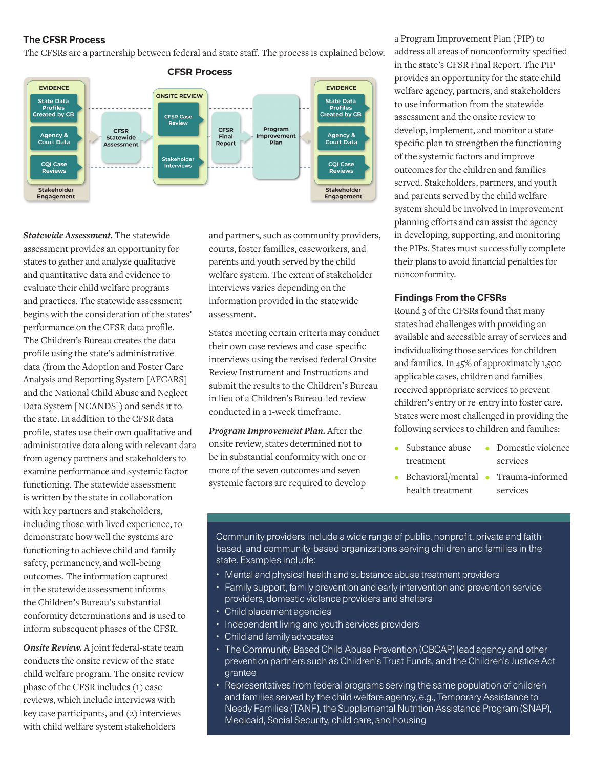#### **The CFSR Process**

The CFSRs are a partnership between federal and state staff. The process is explained below.



*Statewide Assessment.* The statewide assessment provides an opportunity for states to gather and analyze qualitative and quantitative data and evidence to evaluate their child welfare programs and practices. The statewide assessment begins with the consideration of the states' performance on the CFSR data profile. The Children's Bureau creates the data profile using the state's administrative data (from the Adoption and Foster Care Analysis and Reporting System [AFCARS] and the National Child Abuse and Neglect Data System [NCANDS]) and sends it to the state. In addition to the CFSR data profile, states use their own qualitative and administrative data along with relevant data from agency partners and stakeholders to examine performance and systemic factor functioning. The statewide assessment is written by the state in collaboration with key partners and stakeholders, including those with lived experience, to demonstrate how well the systems are functioning to achieve child and family safety, permanency, and well-being outcomes. The information captured in the statewide assessment informs the Children's Bureau's substantial conformity determinations and is used to inform subsequent phases of the CFSR.

*Onsite Review.* A joint federal-state team conducts the onsite review of the state child welfare program. The onsite review phase of the CFSR includes (1) case reviews, which include interviews with key case participants, and (2) interviews with child welfare system stakeholders

and partners, such as community providers, courts, foster families, caseworkers, and parents and youth served by the child welfare system. The extent of stakeholder interviews varies depending on the information provided in the statewide assessment.

States meeting certain criteria may conduct their own case reviews and case-specific interviews using the revised federal Onsite Review Instrument and Instructions and submit the results to the Children's Bureau in lieu of a Children's Bureau-led review conducted in a 1-week timeframe.

*Program Improvement Plan.* After the onsite review, states determined not to be in substantial conformity with one or more of the seven outcomes and seven systemic factors are required to develop

a Program Improvement Plan (PIP) to address all areas of nonconformity specified in the state's CFSR Final Report. The PIP provides an opportunity for the state child welfare agency, partners, and stakeholders to use information from the statewide assessment and the onsite review to develop, implement, and monitor a statespecific plan to strengthen the functioning of the systemic factors and improve outcomes for the children and families served. Stakeholders, partners, and youth and parents served by the child welfare system should be involved in improvement planning efforts and can assist the agency in developing, supporting, and monitoring the PIPs. States must successfully complete their plans to avoid financial penalties for nonconformity.

#### **Findings From the CFSRs**

Round 3 of the CFSRs found that many states had challenges with providing an available and accessible array of services and individualizing those services for children and families. In 45% of approximately 1,500 applicable cases, children and families received appropriate services to prevent children's entry or re-entry into foster care. States were most challenged in providing the following services to children and families:

- **•** Substance abuse treatment **•** Domestic violence services
- **•** Behavioral/mental health treatment **•** Trauma-informed services

Community providers include a wide range of public, nonprofit, private and faithbased, and community-based organizations serving children and families in the state. Examples include:

- Mental and physical health and substance abuse treatment providers
- Family support, family prevention and early intervention and prevention service providers, domestic violence providers and shelters
- Child placement agencies
- Independent living and youth services providers
- Child and family advocates
- The Community-Based Child Abuse Prevention (CBCAP) lead agency and other prevention partners such as Children's Trust Funds, and the Children's Justice Act grantee
- Representatives from federal programs serving the same population of children and families served by the child welfare agency, e.g., Temporary Assistance to Needy Families (TANF), the Supplemental Nutrition Assistance Program (SNAP), Medicaid, Social Security, child care, and housing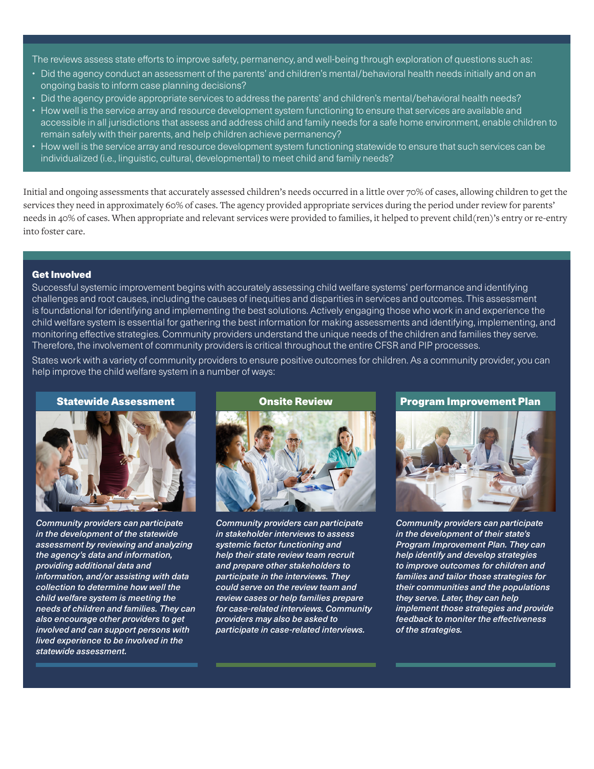The reviews assess state efforts to improve safety, permanency, and well-being through exploration of questions such as:

- Did the agency conduct an assessment of the parents' and children's mental/behavioral health needs initially and on an ongoing basis to inform case planning decisions?
- Did the agency provide appropriate services to address the parents' and children's mental/behavioral health needs?
- How well is the service array and resource development system functioning to ensure that services are available and accessible in all jurisdictions that assess and address child and family needs for a safe home environment, enable children to remain safely with their parents, and help children achieve permanency?
- How well is the service array and resource development system functioning statewide to ensure that such services can be individualized (i.e., linguistic, cultural, developmental) to meet child and family needs?

Initial and ongoing assessments that accurately assessed children's needs occurred in a little over 70% of cases, allowing children to get the services they need in approximately 60% of cases. The agency provided appropriate services during the period under review for parents' needs in 40% of cases. When appropriate and relevant services were provided to families, it helped to prevent child(ren)'s entry or re-entry into foster care.

#### Get Involved

Successful systemic improvement begins with accurately assessing child welfare systems' performance and identifying challenges and root causes, including the causes of inequities and disparities in services and outcomes. This assessment is foundational for identifying and implementing the best solutions. Actively engaging those who work in and experience the child welfare system is essential for gathering the best information for making assessments and identifying, implementing, and monitoring effective strategies. Community providers understand the unique needs of the children and families they serve. Therefore, the involvement of community providers is critical throughout the entire CFSR and PIP processes.

States work with a variety of community providers to ensure positive outcomes for children. As a community provider, you can help improve the child welfare system in a number of ways:





*Community providers can participate in the development of the statewide assessment by reviewing and analyzing the agency's data and information, providing additional data and information, and/or assisting with data collection to determine how well the child welfare system is meeting the needs of children and families. They can also encourage other providers to get involved and can support persons with lived experience to be involved in the statewide assessment.*



*Community providers can participate in stakeholder interviews to assess systemic factor functioning and help their state review team recruit and prepare other stakeholders to participate in the interviews. They could serve on the review team and review cases or help families prepare for case-related interviews. Community providers may also be asked to participate in case-related interviews.*

Statewide Assessment Onsite Review Program Improvement Plan



*Community providers can participate in the development of their state's Program Improvement Plan. They can help identify and develop strategies to improve outcomes for children and families and tailor those strategies for their communities and the populations they serve. Later, they can help implement those strategies and provide feedback to moniter the effectiveness of the strategies.*